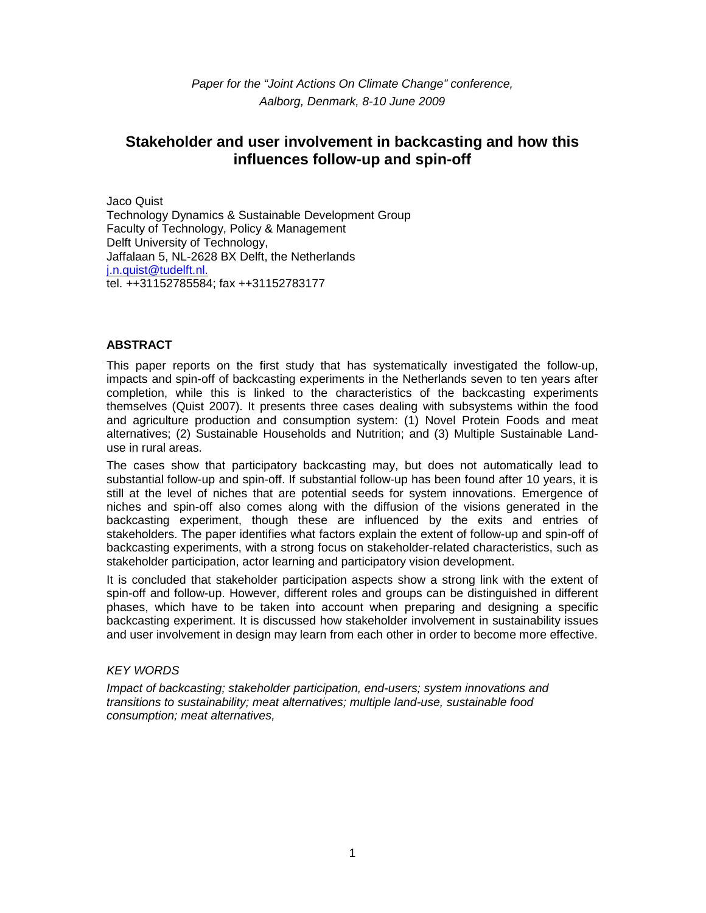Paper for the "Joint Actions On Climate Change" conference, Aalborg, Denmark, 8-10 June 2009

# **Stakeholder and user involvement in backcasting and how this influences follow-up and spin-off**

Jaco Quist Technology Dynamics & Sustainable Development Group Faculty of Technology, Policy & Management Delft University of Technology, Jaffalaan 5, NL-2628 BX Delft, the Netherlands j.n.quist@tudelft.nl. tel. ++31152785584; fax ++31152783177

## **ABSTRACT**

This paper reports on the first study that has systematically investigated the follow-up, impacts and spin-off of backcasting experiments in the Netherlands seven to ten years after completion, while this is linked to the characteristics of the backcasting experiments themselves (Quist 2007). It presents three cases dealing with subsystems within the food and agriculture production and consumption system: (1) Novel Protein Foods and meat alternatives; (2) Sustainable Households and Nutrition; and (3) Multiple Sustainable Landuse in rural areas.

The cases show that participatory backcasting may, but does not automatically lead to substantial follow-up and spin-off. If substantial follow-up has been found after 10 years, it is still at the level of niches that are potential seeds for system innovations. Emergence of niches and spin-off also comes along with the diffusion of the visions generated in the backcasting experiment, though these are influenced by the exits and entries of stakeholders. The paper identifies what factors explain the extent of follow-up and spin-off of backcasting experiments, with a strong focus on stakeholder-related characteristics, such as stakeholder participation, actor learning and participatory vision development.

It is concluded that stakeholder participation aspects show a strong link with the extent of spin-off and follow-up. However, different roles and groups can be distinguished in different phases, which have to be taken into account when preparing and designing a specific backcasting experiment. It is discussed how stakeholder involvement in sustainability issues and user involvement in design may learn from each other in order to become more effective.

## KEY WORDS

Impact of backcasting; stakeholder participation, end-users; system innovations and transitions to sustainability; meat alternatives; multiple land-use, sustainable food consumption; meat alternatives,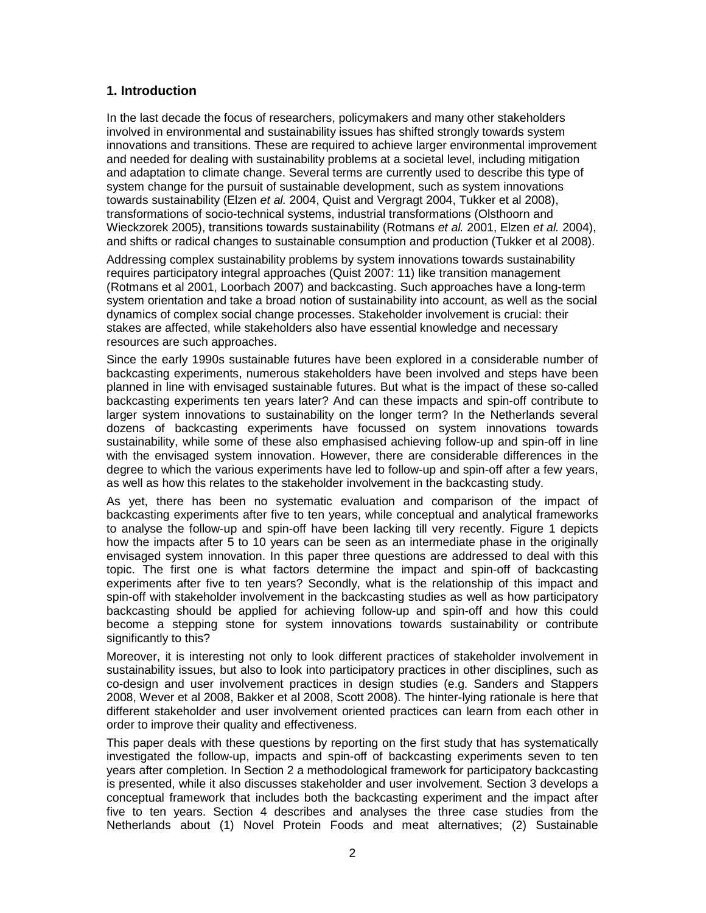## **1. Introduction**

In the last decade the focus of researchers, policymakers and many other stakeholders involved in environmental and sustainability issues has shifted strongly towards system innovations and transitions. These are required to achieve larger environmental improvement and needed for dealing with sustainability problems at a societal level, including mitigation and adaptation to climate change. Several terms are currently used to describe this type of system change for the pursuit of sustainable development, such as system innovations towards sustainability (Elzen et al. 2004, Quist and Vergragt 2004, Tukker et al 2008), transformations of socio-technical systems, industrial transformations (Olsthoorn and Wieckzorek 2005), transitions towards sustainability (Rotmans et al. 2001, Elzen et al. 2004), and shifts or radical changes to sustainable consumption and production (Tukker et al 2008).

Addressing complex sustainability problems by system innovations towards sustainability requires participatory integral approaches (Quist 2007: 11) like transition management (Rotmans et al 2001, Loorbach 2007) and backcasting. Such approaches have a long-term system orientation and take a broad notion of sustainability into account, as well as the social dynamics of complex social change processes. Stakeholder involvement is crucial: their stakes are affected, while stakeholders also have essential knowledge and necessary resources are such approaches.

Since the early 1990s sustainable futures have been explored in a considerable number of backcasting experiments, numerous stakeholders have been involved and steps have been planned in line with envisaged sustainable futures. But what is the impact of these so-called backcasting experiments ten years later? And can these impacts and spin-off contribute to larger system innovations to sustainability on the longer term? In the Netherlands several dozens of backcasting experiments have focussed on system innovations towards sustainability, while some of these also emphasised achieving follow-up and spin-off in line with the envisaged system innovation. However, there are considerable differences in the degree to which the various experiments have led to follow-up and spin-off after a few years, as well as how this relates to the stakeholder involvement in the backcasting study.

As yet, there has been no systematic evaluation and comparison of the impact of backcasting experiments after five to ten years, while conceptual and analytical frameworks to analyse the follow-up and spin-off have been lacking till very recently. Figure 1 depicts how the impacts after 5 to 10 years can be seen as an intermediate phase in the originally envisaged system innovation. In this paper three questions are addressed to deal with this topic. The first one is what factors determine the impact and spin-off of backcasting experiments after five to ten years? Secondly, what is the relationship of this impact and spin-off with stakeholder involvement in the backcasting studies as well as how participatory backcasting should be applied for achieving follow-up and spin-off and how this could become a stepping stone for system innovations towards sustainability or contribute significantly to this?

Moreover, it is interesting not only to look different practices of stakeholder involvement in sustainability issues, but also to look into participatory practices in other disciplines, such as co-design and user involvement practices in design studies (e.g. Sanders and Stappers 2008, Wever et al 2008, Bakker et al 2008, Scott 2008). The hinter-lying rationale is here that different stakeholder and user involvement oriented practices can learn from each other in order to improve their quality and effectiveness.

This paper deals with these questions by reporting on the first study that has systematically investigated the follow-up, impacts and spin-off of backcasting experiments seven to ten years after completion. In Section 2 a methodological framework for participatory backcasting is presented, while it also discusses stakeholder and user involvement. Section 3 develops a conceptual framework that includes both the backcasting experiment and the impact after five to ten years. Section 4 describes and analyses the three case studies from the Netherlands about (1) Novel Protein Foods and meat alternatives; (2) Sustainable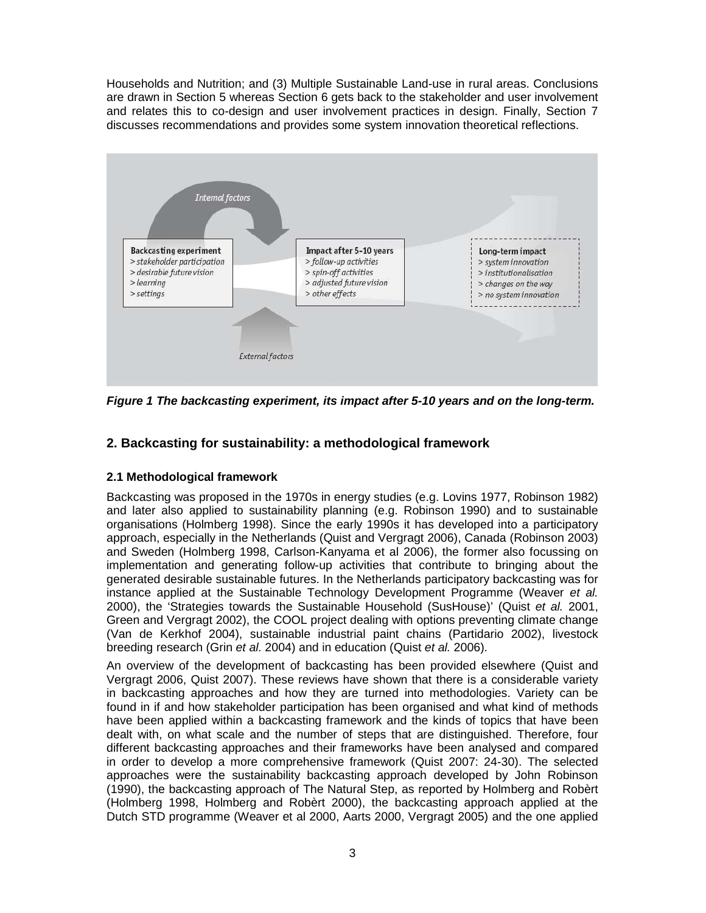Households and Nutrition; and (3) Multiple Sustainable Land-use in rural areas. Conclusions are drawn in Section 5 whereas Section 6 gets back to the stakeholder and user involvement and relates this to co-design and user involvement practices in design. Finally, Section 7 discusses recommendations and provides some system innovation theoretical reflections.



**Figure 1 The backcasting experiment, its impact after 5-10 years and on the long-term.** 

# **2. Backcasting for sustainability: a methodological framework**

## **2.1 Methodological framework**

Backcasting was proposed in the 1970s in energy studies (e.g. Lovins 1977, Robinson 1982) and later also applied to sustainability planning (e.g. Robinson 1990) and to sustainable organisations (Holmberg 1998). Since the early 1990s it has developed into a participatory approach, especially in the Netherlands (Quist and Vergragt 2006), Canada (Robinson 2003) and Sweden (Holmberg 1998, Carlson-Kanyama et al 2006), the former also focussing on implementation and generating follow-up activities that contribute to bringing about the generated desirable sustainable futures. In the Netherlands participatory backcasting was for instance applied at the Sustainable Technology Development Programme (Weaver et al. 2000), the 'Strategies towards the Sustainable Household (SusHouse)' (Quist et al. 2001, Green and Vergragt 2002), the COOL project dealing with options preventing climate change (Van de Kerkhof 2004), sustainable industrial paint chains (Partidario 2002), livestock breeding research (Grin et al. 2004) and in education (Quist et al. 2006).

An overview of the development of backcasting has been provided elsewhere (Quist and Vergragt 2006, Quist 2007). These reviews have shown that there is a considerable variety in backcasting approaches and how they are turned into methodologies. Variety can be found in if and how stakeholder participation has been organised and what kind of methods have been applied within a backcasting framework and the kinds of topics that have been dealt with, on what scale and the number of steps that are distinguished. Therefore, four different backcasting approaches and their frameworks have been analysed and compared in order to develop a more comprehensive framework (Quist 2007: 24-30). The selected approaches were the sustainability backcasting approach developed by John Robinson (1990), the backcasting approach of The Natural Step, as reported by Holmberg and Robèrt (Holmberg 1998, Holmberg and Robèrt 2000), the backcasting approach applied at the Dutch STD programme (Weaver et al 2000, Aarts 2000, Vergragt 2005) and the one applied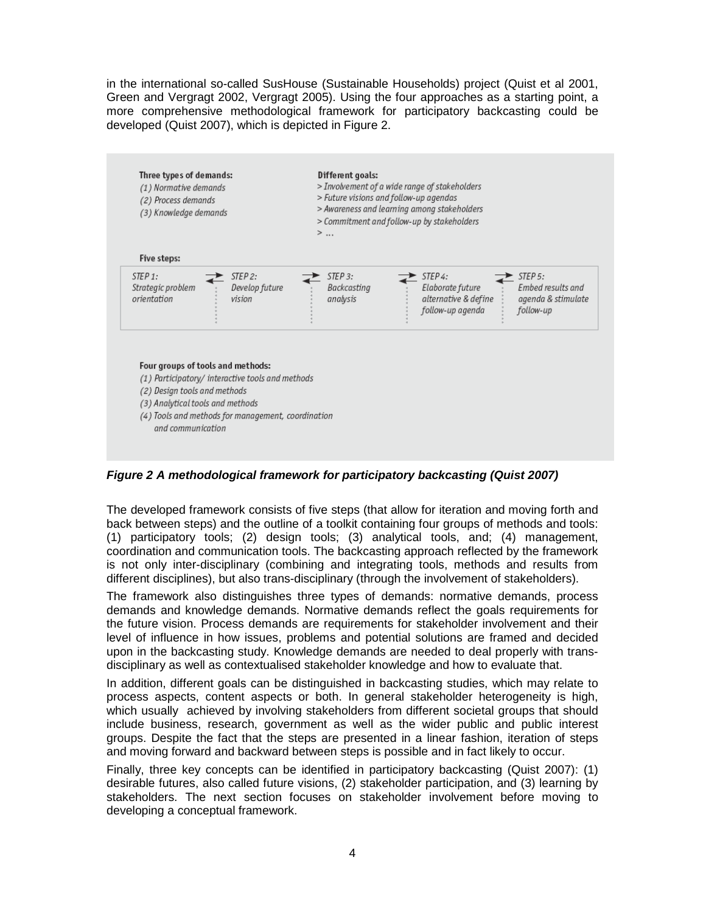in the international so-called SusHouse (Sustainable Households) project (Quist et al 2001, Green and Vergragt 2002, Vergragt 2005). Using the four approaches as a starting point, a more comprehensive methodological framework for participatory backcasting could be developed (Quist 2007), which is depicted in Figure 2.

| STEP <sub>3</sub> :<br>STEP <sub>4</sub> :<br>STEP <sub>5</sub> :<br>Backcasting<br>Embed results and<br>Elaborate future |
|---------------------------------------------------------------------------------------------------------------------------|
| alternative & define<br>analysis<br>agenda & stimulate<br>follow-up agenda<br>follow-up                                   |
|                                                                                                                           |

**Figure 2 A methodological framework for participatory backcasting (Quist 2007)** 

The developed framework consists of five steps (that allow for iteration and moving forth and back between steps) and the outline of a toolkit containing four groups of methods and tools: (1) participatory tools; (2) design tools; (3) analytical tools, and; (4) management, coordination and communication tools. The backcasting approach reflected by the framework is not only inter-disciplinary (combining and integrating tools, methods and results from different disciplines), but also trans-disciplinary (through the involvement of stakeholders).

The framework also distinguishes three types of demands: normative demands, process demands and knowledge demands. Normative demands reflect the goals requirements for the future vision. Process demands are requirements for stakeholder involvement and their level of influence in how issues, problems and potential solutions are framed and decided upon in the backcasting study. Knowledge demands are needed to deal properly with transdisciplinary as well as contextualised stakeholder knowledge and how to evaluate that.

In addition, different goals can be distinguished in backcasting studies, which may relate to process aspects, content aspects or both. In general stakeholder heterogeneity is high, which usually achieved by involving stakeholders from different societal groups that should include business, research, government as well as the wider public and public interest groups. Despite the fact that the steps are presented in a linear fashion, iteration of steps and moving forward and backward between steps is possible and in fact likely to occur.

Finally, three key concepts can be identified in participatory backcasting (Quist 2007): (1) desirable futures, also called future visions, (2) stakeholder participation, and (3) learning by stakeholders. The next section focuses on stakeholder involvement before moving to developing a conceptual framework.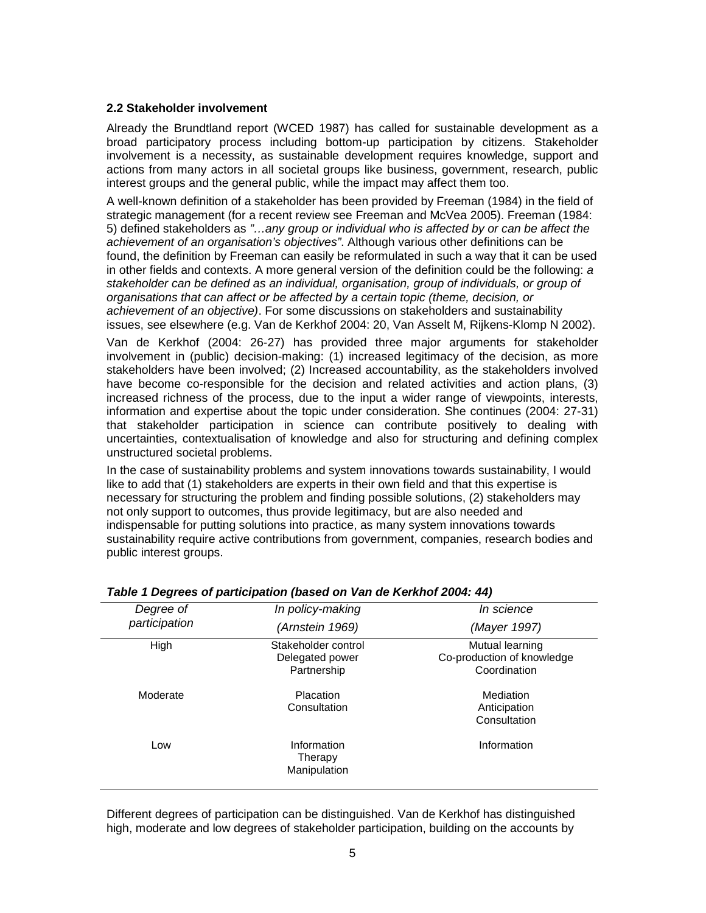#### **2.2 Stakeholder involvement**

Already the Brundtland report (WCED 1987) has called for sustainable development as a broad participatory process including bottom-up participation by citizens. Stakeholder involvement is a necessity, as sustainable development requires knowledge, support and actions from many actors in all societal groups like business, government, research, public interest groups and the general public, while the impact may affect them too.

A well-known definition of a stakeholder has been provided by Freeman (1984) in the field of strategic management (for a recent review see Freeman and McVea 2005). Freeman (1984: 5) defined stakeholders as "…any group or individual who is affected by or can be affect the achievement of an organisation's objectives". Although various other definitions can be found, the definition by Freeman can easily be reformulated in such a way that it can be used in other fields and contexts. A more general version of the definition could be the following: a stakeholder can be defined as an individual, organisation, group of individuals, or group of organisations that can affect or be affected by a certain topic (theme, decision, or achievement of an objective). For some discussions on stakeholders and sustainability issues, see elsewhere (e.g. Van de Kerkhof 2004: 20, Van Asselt M, Rijkens-Klomp N 2002).

Van de Kerkhof (2004: 26-27) has provided three major arguments for stakeholder involvement in (public) decision-making: (1) increased legitimacy of the decision, as more stakeholders have been involved; (2) Increased accountability, as the stakeholders involved have become co-responsible for the decision and related activities and action plans, (3) increased richness of the process, due to the input a wider range of viewpoints, interests, information and expertise about the topic under consideration. She continues (2004: 27-31) that stakeholder participation in science can contribute positively to dealing with uncertainties, contextualisation of knowledge and also for structuring and defining complex unstructured societal problems.

In the case of sustainability problems and system innovations towards sustainability, I would like to add that (1) stakeholders are experts in their own field and that this expertise is necessary for structuring the problem and finding possible solutions, (2) stakeholders may not only support to outcomes, thus provide legitimacy, but are also needed and indispensable for putting solutions into practice, as many system innovations towards sustainability require active contributions from government, companies, research bodies and public interest groups.

| Degree of     | In policy-making                                      | In science                                                    |
|---------------|-------------------------------------------------------|---------------------------------------------------------------|
| participation | (Arnstein 1969)                                       | (Mayer 1997)                                                  |
| High          | Stakeholder control<br>Delegated power<br>Partnership | Mutual learning<br>Co-production of knowledge<br>Coordination |
| Moderate      | <b>Placation</b><br>Consultation                      | Mediation<br>Anticipation<br>Consultation                     |
| Low           | Information<br>Therapy<br>Manipulation                | Information                                                   |

#### **Table 1 Degrees of participation (based on Van de Kerkhof 2004: 44)**

Different degrees of participation can be distinguished. Van de Kerkhof has distinguished high, moderate and low degrees of stakeholder participation, building on the accounts by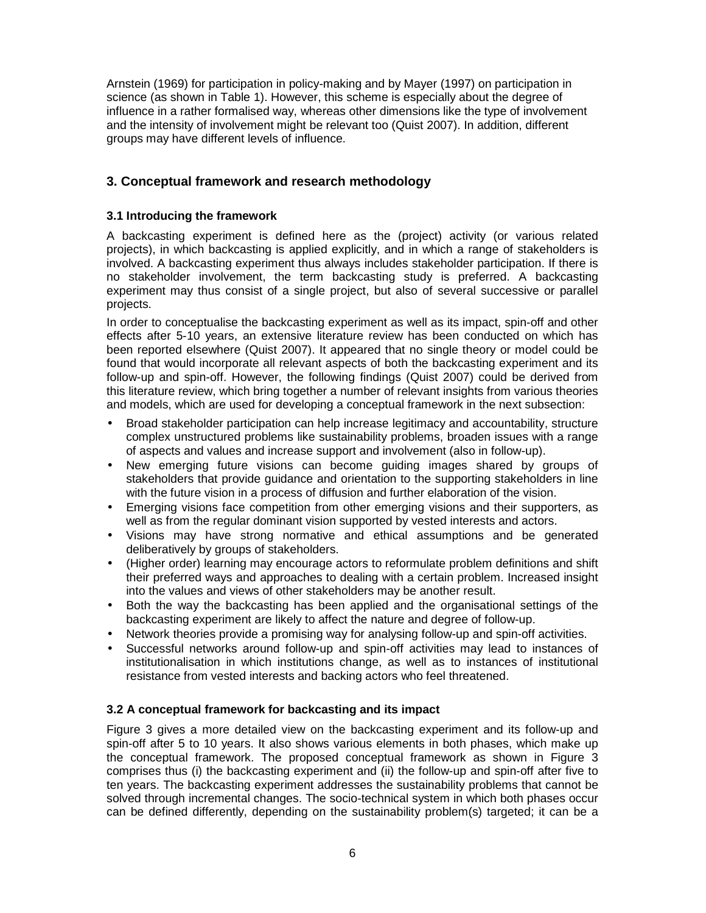Arnstein (1969) for participation in policy-making and by Mayer (1997) on participation in science (as shown in Table 1). However, this scheme is especially about the degree of influence in a rather formalised way, whereas other dimensions like the type of involvement and the intensity of involvement might be relevant too (Quist 2007). In addition, different groups may have different levels of influence.

# **3. Conceptual framework and research methodology**

## **3.1 Introducing the framework**

A backcasting experiment is defined here as the (project) activity (or various related projects), in which backcasting is applied explicitly, and in which a range of stakeholders is involved. A backcasting experiment thus always includes stakeholder participation. If there is no stakeholder involvement, the term backcasting study is preferred. A backcasting experiment may thus consist of a single project, but also of several successive or parallel projects.

In order to conceptualise the backcasting experiment as well as its impact, spin-off and other effects after 5-10 years, an extensive literature review has been conducted on which has been reported elsewhere (Quist 2007). It appeared that no single theory or model could be found that would incorporate all relevant aspects of both the backcasting experiment and its follow-up and spin-off. However, the following findings (Quist 2007) could be derived from this literature review, which bring together a number of relevant insights from various theories and models, which are used for developing a conceptual framework in the next subsection:

- Broad stakeholder participation can help increase legitimacy and accountability, structure complex unstructured problems like sustainability problems, broaden issues with a range of aspects and values and increase support and involvement (also in follow-up).
- New emerging future visions can become guiding images shared by groups of stakeholders that provide guidance and orientation to the supporting stakeholders in line with the future vision in a process of diffusion and further elaboration of the vision.
- Emerging visions face competition from other emerging visions and their supporters, as well as from the regular dominant vision supported by vested interests and actors.
- Visions may have strong normative and ethical assumptions and be generated deliberatively by groups of stakeholders.
- (Higher order) learning may encourage actors to reformulate problem definitions and shift their preferred ways and approaches to dealing with a certain problem. Increased insight into the values and views of other stakeholders may be another result.
- Both the way the backcasting has been applied and the organisational settings of the backcasting experiment are likely to affect the nature and degree of follow-up.
- Network theories provide a promising way for analysing follow-up and spin-off activities.
- Successful networks around follow-up and spin-off activities may lead to instances of institutionalisation in which institutions change, as well as to instances of institutional resistance from vested interests and backing actors who feel threatened.

## **3.2 A conceptual framework for backcasting and its impact**

Figure 3 gives a more detailed view on the backcasting experiment and its follow-up and spin-off after 5 to 10 years. It also shows various elements in both phases, which make up the conceptual framework. The proposed conceptual framework as shown in Figure 3 comprises thus (i) the backcasting experiment and (ii) the follow-up and spin-off after five to ten years. The backcasting experiment addresses the sustainability problems that cannot be solved through incremental changes. The socio-technical system in which both phases occur can be defined differently, depending on the sustainability problem(s) targeted; it can be a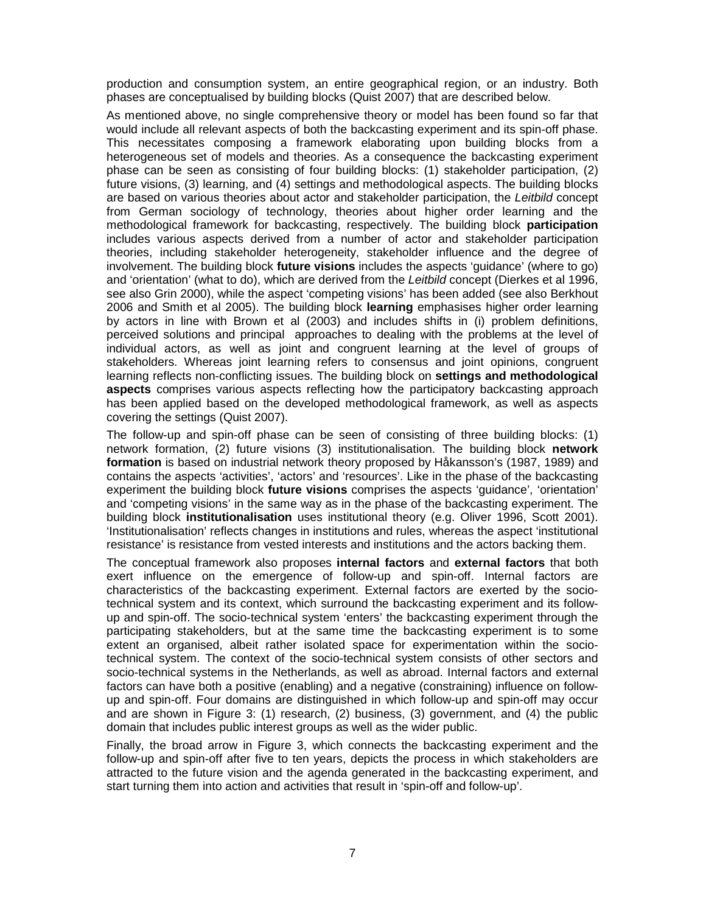production and consumption system, an entire geographical region, or an industry. Both phases are conceptualised by building blocks (Quist 2007) that are described below.

As mentioned above, no single comprehensive theory or model has been found so far that would include all relevant aspects of both the backcasting experiment and its spin-off phase. This necessitates composing a framework elaborating upon building blocks from a heterogeneous set of models and theories. As a consequence the backcasting experiment phase can be seen as consisting of four building blocks: (1) stakeholder participation, (2) future visions, (3) learning, and (4) settings and methodological aspects. The building blocks are based on various theories about actor and stakeholder participation, the Leitbild concept from German sociology of technology, theories about higher order learning and the methodological framework for backcasting, respectively. The building block **participation** includes various aspects derived from a number of actor and stakeholder participation theories, including stakeholder heterogeneity, stakeholder influence and the degree of involvement. The building block **future visions** includes the aspects 'guidance' (where to go) and 'orientation' (what to do), which are derived from the Leitbild concept (Dierkes et al 1996, see also Grin 2000), while the aspect 'competing visions' has been added (see also Berkhout 2006 and Smith et al 2005). The building block **learning** emphasises higher order learning by actors in line with Brown et al (2003) and includes shifts in (i) problem definitions, perceived solutions and principal approaches to dealing with the problems at the level of individual actors, as well as joint and congruent learning at the level of groups of stakeholders. Whereas joint learning refers to consensus and joint opinions, congruent learning reflects non-conflicting issues. The building block on **settings and methodological aspects** comprises various aspects reflecting how the participatory backcasting approach has been applied based on the developed methodological framework, as well as aspects covering the settings (Quist 2007).

The follow-up and spin-off phase can be seen of consisting of three building blocks: (1) network formation, (2) future visions (3) institutionalisation. The building block **network formation** is based on industrial network theory proposed by Håkansson's (1987, 1989) and contains the aspects 'activities', 'actors' and 'resources'. Like in the phase of the backcasting experiment the building block **future visions** comprises the aspects 'guidance', 'orientation' and 'competing visions' in the same way as in the phase of the backcasting experiment. The building block **institutionalisation** uses institutional theory (e.g. Oliver 1996, Scott 2001). 'Institutionalisation' reflects changes in institutions and rules, whereas the aspect 'institutional resistance' is resistance from vested interests and institutions and the actors backing them.

The conceptual framework also proposes **internal factors** and **external factors** that both exert influence on the emergence of follow-up and spin-off. Internal factors are characteristics of the backcasting experiment. External factors are exerted by the sociotechnical system and its context, which surround the backcasting experiment and its followup and spin-off. The socio-technical system 'enters' the backcasting experiment through the participating stakeholders, but at the same time the backcasting experiment is to some extent an organised, albeit rather isolated space for experimentation within the sociotechnical system. The context of the socio-technical system consists of other sectors and socio-technical systems in the Netherlands, as well as abroad. Internal factors and external factors can have both a positive (enabling) and a negative (constraining) influence on followup and spin-off. Four domains are distinguished in which follow-up and spin-off may occur and are shown in Figure 3: (1) research, (2) business, (3) government, and (4) the public domain that includes public interest groups as well as the wider public.

Finally, the broad arrow in Figure 3, which connects the backcasting experiment and the follow-up and spin-off after five to ten years, depicts the process in which stakeholders are attracted to the future vision and the agenda generated in the backcasting experiment, and start turning them into action and activities that result in 'spin-off and follow-up'.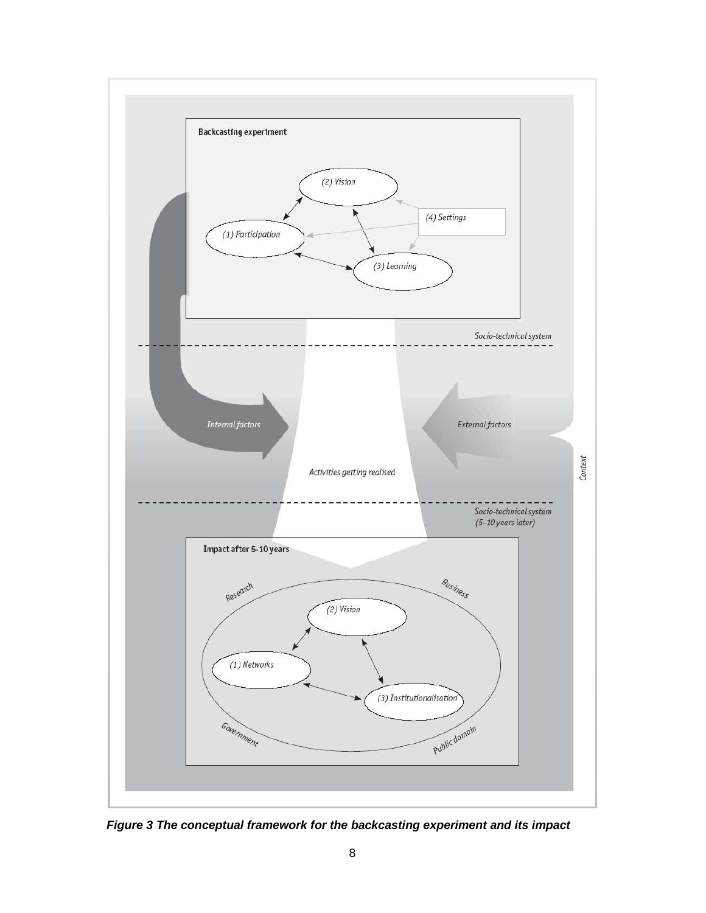

**Figure 3 The conceptual framework for the backcasting experiment and its impact**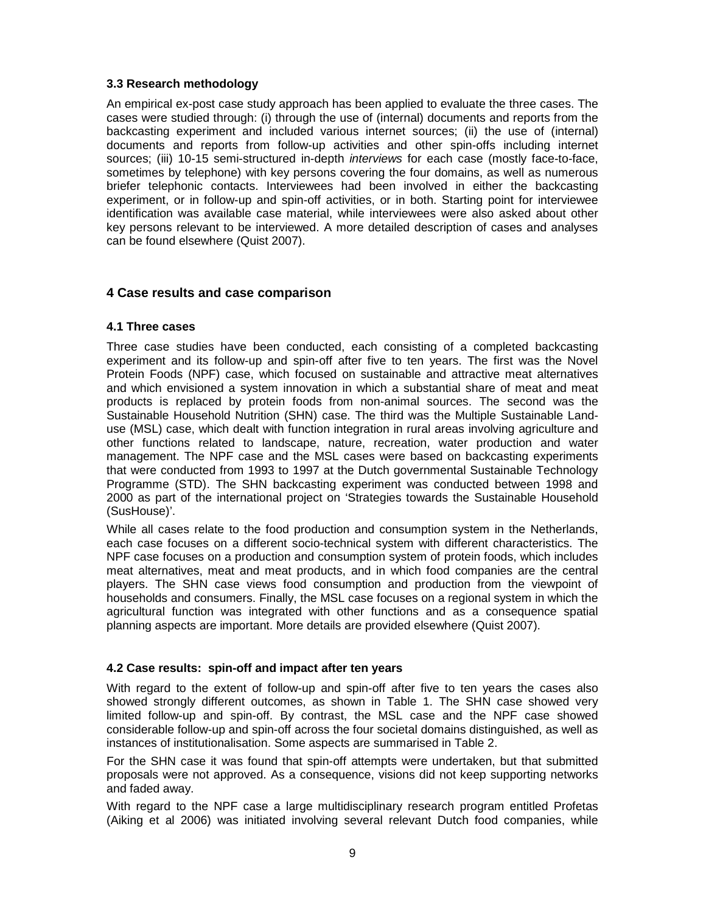### **3.3 Research methodology**

An empirical ex-post case study approach has been applied to evaluate the three cases. The cases were studied through: (i) through the use of (internal) documents and reports from the backcasting experiment and included various internet sources; (ii) the use of (internal) documents and reports from follow-up activities and other spin-offs including internet sources; (iii) 10-15 semi-structured in-depth *interviews* for each case (mostly face-to-face, sometimes by telephone) with key persons covering the four domains, as well as numerous briefer telephonic contacts. Interviewees had been involved in either the backcasting experiment, or in follow-up and spin-off activities, or in both. Starting point for interviewee identification was available case material, while interviewees were also asked about other key persons relevant to be interviewed. A more detailed description of cases and analyses can be found elsewhere (Quist 2007).

## **4 Case results and case comparison**

## **4.1 Three cases**

Three case studies have been conducted, each consisting of a completed backcasting experiment and its follow-up and spin-off after five to ten years. The first was the Novel Protein Foods (NPF) case, which focused on sustainable and attractive meat alternatives and which envisioned a system innovation in which a substantial share of meat and meat products is replaced by protein foods from non-animal sources. The second was the Sustainable Household Nutrition (SHN) case. The third was the Multiple Sustainable Landuse (MSL) case, which dealt with function integration in rural areas involving agriculture and other functions related to landscape, nature, recreation, water production and water management. The NPF case and the MSL cases were based on backcasting experiments that were conducted from 1993 to 1997 at the Dutch governmental Sustainable Technology Programme (STD). The SHN backcasting experiment was conducted between 1998 and 2000 as part of the international project on 'Strategies towards the Sustainable Household (SusHouse)'.

While all cases relate to the food production and consumption system in the Netherlands, each case focuses on a different socio-technical system with different characteristics. The NPF case focuses on a production and consumption system of protein foods, which includes meat alternatives, meat and meat products, and in which food companies are the central players. The SHN case views food consumption and production from the viewpoint of households and consumers. Finally, the MSL case focuses on a regional system in which the agricultural function was integrated with other functions and as a consequence spatial planning aspects are important. More details are provided elsewhere (Quist 2007).

## **4.2 Case results: spin-off and impact after ten years**

With regard to the extent of follow-up and spin-off after five to ten years the cases also showed strongly different outcomes, as shown in Table 1. The SHN case showed very limited follow-up and spin-off. By contrast, the MSL case and the NPF case showed considerable follow-up and spin-off across the four societal domains distinguished, as well as instances of institutionalisation. Some aspects are summarised in Table 2.

For the SHN case it was found that spin-off attempts were undertaken, but that submitted proposals were not approved. As a consequence, visions did not keep supporting networks and faded away.

With regard to the NPF case a large multidisciplinary research program entitled Profetas (Aiking et al 2006) was initiated involving several relevant Dutch food companies, while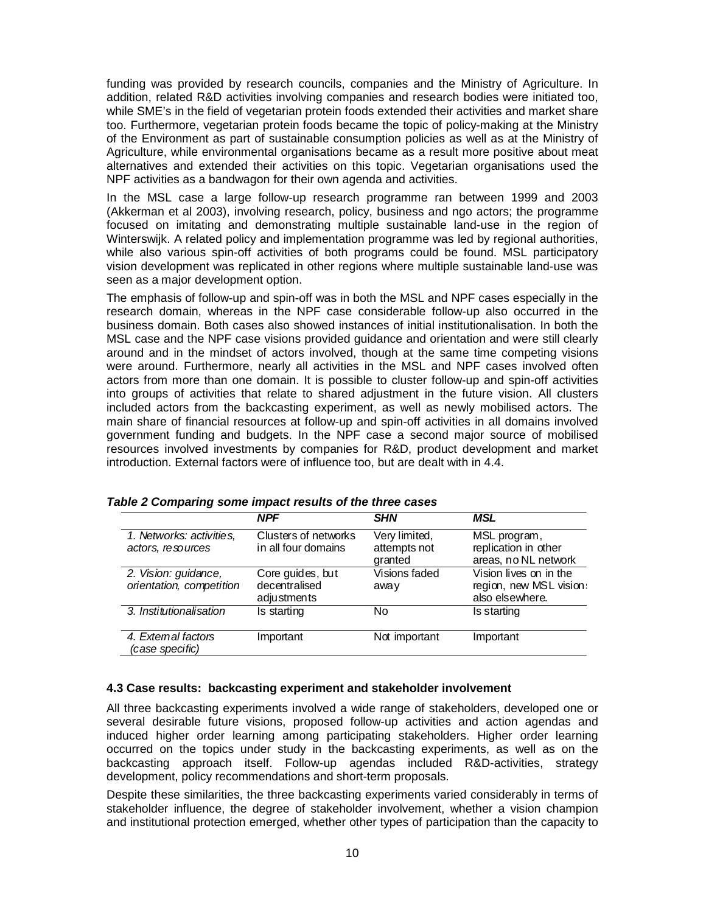funding was provided by research councils, companies and the Ministry of Agriculture. In addition, related R&D activities involving companies and research bodies were initiated too, while SME's in the field of vegetarian protein foods extended their activities and market share too. Furthermore, vegetarian protein foods became the topic of policy-making at the Ministry of the Environment as part of sustainable consumption policies as well as at the Ministry of Agriculture, while environmental organisations became as a result more positive about meat alternatives and extended their activities on this topic. Vegetarian organisations used the NPF activities as a bandwagon for their own agenda and activities.

In the MSL case a large follow-up research programme ran between 1999 and 2003 (Akkerman et al 2003), involving research, policy, business and ngo actors; the programme focused on imitating and demonstrating multiple sustainable land-use in the region of Winterswijk. A related policy and implementation programme was led by regional authorities, while also various spin-off activities of both programs could be found. MSL participatory vision development was replicated in other regions where multiple sustainable land-use was seen as a major development option.

The emphasis of follow-up and spin-off was in both the MSL and NPF cases especially in the research domain, whereas in the NPF case considerable follow-up also occurred in the business domain. Both cases also showed instances of initial institutionalisation. In both the MSL case and the NPF case visions provided guidance and orientation and were still clearly around and in the mindset of actors involved, though at the same time competing visions were around. Furthermore, nearly all activities in the MSL and NPF cases involved often actors from more than one domain. It is possible to cluster follow-up and spin-off activities into groups of activities that relate to shared adjustment in the future vision. All clusters included actors from the backcasting experiment, as well as newly mobilised actors. The main share of financial resources at follow-up and spin-off activities in all domains involved government funding and budgets. In the NPF case a second major source of mobilised resources involved investments by companies for R&D, product development and market introduction. External factors were of influence too, but are dealt with in 4.4.

|                                                  | <b>NPF</b>                                       | <b>SHN</b>                               | MSL                                                                  |
|--------------------------------------------------|--------------------------------------------------|------------------------------------------|----------------------------------------------------------------------|
| 1. Networks: activities,<br>actors, resources    | Clusters of networks<br>in all four domains      | Very limited,<br>attempts not<br>granted | MSL program,<br>replication in other<br>areas, no NL network         |
| 2. Vision: guidance,<br>orientation, competition | Core guides, but<br>decentralised<br>adjustments | Visions faded<br>away                    | Vision lives on in the<br>region, new MSL vision:<br>also elsewhere. |
| 3. Institutionalisation                          | Is starting                                      | No.                                      | Is starting                                                          |
| 4. External factors<br>(case specific)           | Important                                        | Not important                            | Important                                                            |

**Table 2 Comparing some impact results of the three cases** 

#### **4.3 Case results: backcasting experiment and stakeholder involvement**

All three backcasting experiments involved a wide range of stakeholders, developed one or several desirable future visions, proposed follow-up activities and action agendas and induced higher order learning among participating stakeholders. Higher order learning occurred on the topics under study in the backcasting experiments, as well as on the backcasting approach itself. Follow-up agendas included R&D-activities, strategy development, policy recommendations and short-term proposals.

Despite these similarities, the three backcasting experiments varied considerably in terms of stakeholder influence, the degree of stakeholder involvement, whether a vision champion and institutional protection emerged, whether other types of participation than the capacity to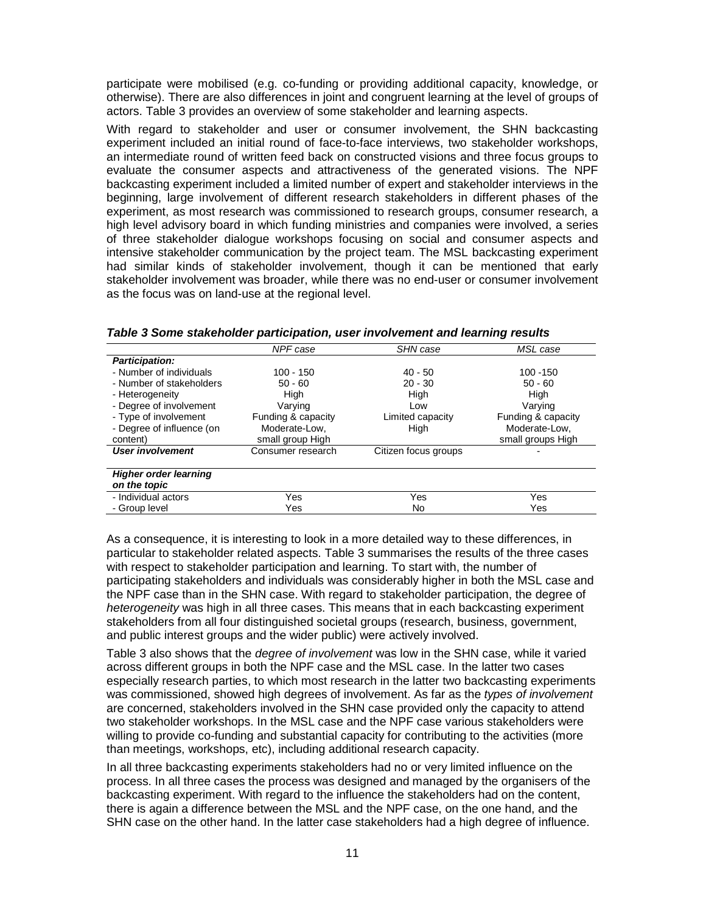participate were mobilised (e.g. co-funding or providing additional capacity, knowledge, or otherwise). There are also differences in joint and congruent learning at the level of groups of actors. Table 3 provides an overview of some stakeholder and learning aspects.

With regard to stakeholder and user or consumer involvement, the SHN backcasting experiment included an initial round of face-to-face interviews, two stakeholder workshops, an intermediate round of written feed back on constructed visions and three focus groups to evaluate the consumer aspects and attractiveness of the generated visions. The NPF backcasting experiment included a limited number of expert and stakeholder interviews in the beginning, large involvement of different research stakeholders in different phases of the experiment, as most research was commissioned to research groups, consumer research, a high level advisory board in which funding ministries and companies were involved, a series of three stakeholder dialogue workshops focusing on social and consumer aspects and intensive stakeholder communication by the project team. The MSL backcasting experiment had similar kinds of stakeholder involvement, though it can be mentioned that early stakeholder involvement was broader, while there was no end-user or consumer involvement as the focus was on land-use at the regional level.

|                              | NPF case           | <b>SHN</b> case      | MSL case           |
|------------------------------|--------------------|----------------------|--------------------|
| <b>Participation:</b>        |                    |                      |                    |
| - Number of individuals      | $100 - 150$        | $40 - 50$            | $100 - 150$        |
| - Number of stakeholders     | $50 - 60$          | $20 - 30$            | $50 - 60$          |
| - Heterogeneity              | Hiah               | High                 | High               |
| - Degree of involvement      | Varying            | Low                  | Varying            |
| - Type of involvement        | Funding & capacity | Limited capacity     | Funding & capacity |
| - Degree of influence (on    | Moderate-Low,      | High                 | Moderate-Low,      |
| content)                     | small group High   |                      | small groups High  |
| User involvement             | Consumer research  | Citizen focus groups |                    |
| <b>Higher order learning</b> |                    |                      |                    |
| on the topic                 |                    |                      |                    |
| - Individual actors          | Yes                | Yes                  | Yes                |
| - Group level                | Yes                | No                   | Yes                |

**Table 3 Some stakeholder participation, user involvement and learning results** 

As a consequence, it is interesting to look in a more detailed way to these differences, in particular to stakeholder related aspects. Table 3 summarises the results of the three cases with respect to stakeholder participation and learning. To start with, the number of participating stakeholders and individuals was considerably higher in both the MSL case and the NPF case than in the SHN case. With regard to stakeholder participation, the degree of heterogeneity was high in all three cases. This means that in each backcasting experiment stakeholders from all four distinguished societal groups (research, business, government, and public interest groups and the wider public) were actively involved.

Table 3 also shows that the degree of involvement was low in the SHN case, while it varied across different groups in both the NPF case and the MSL case. In the latter two cases especially research parties, to which most research in the latter two backcasting experiments was commissioned, showed high degrees of involvement. As far as the types of involvement are concerned, stakeholders involved in the SHN case provided only the capacity to attend two stakeholder workshops. In the MSL case and the NPF case various stakeholders were willing to provide co-funding and substantial capacity for contributing to the activities (more than meetings, workshops, etc), including additional research capacity.

In all three backcasting experiments stakeholders had no or very limited influence on the process. In all three cases the process was designed and managed by the organisers of the backcasting experiment. With regard to the influence the stakeholders had on the content, there is again a difference between the MSL and the NPF case, on the one hand, and the SHN case on the other hand. In the latter case stakeholders had a high degree of influence.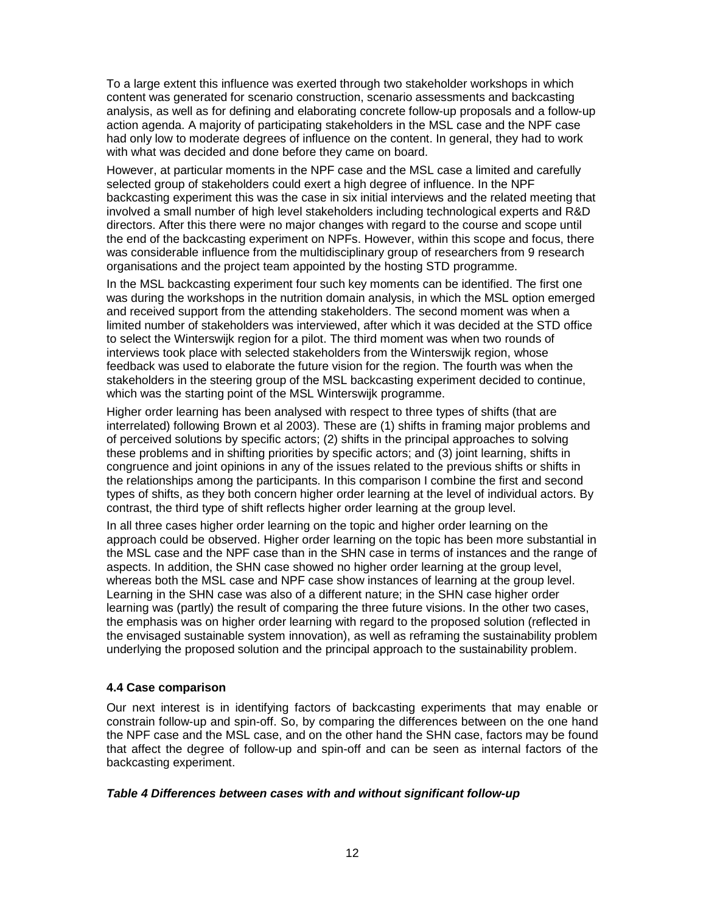To a large extent this influence was exerted through two stakeholder workshops in which content was generated for scenario construction, scenario assessments and backcasting analysis, as well as for defining and elaborating concrete follow-up proposals and a follow-up action agenda. A majority of participating stakeholders in the MSL case and the NPF case had only low to moderate degrees of influence on the content. In general, they had to work with what was decided and done before they came on board.

However, at particular moments in the NPF case and the MSL case a limited and carefully selected group of stakeholders could exert a high degree of influence. In the NPF backcasting experiment this was the case in six initial interviews and the related meeting that involved a small number of high level stakeholders including technological experts and R&D directors. After this there were no major changes with regard to the course and scope until the end of the backcasting experiment on NPFs. However, within this scope and focus, there was considerable influence from the multidisciplinary group of researchers from 9 research organisations and the project team appointed by the hosting STD programme.

In the MSL backcasting experiment four such key moments can be identified. The first one was during the workshops in the nutrition domain analysis, in which the MSL option emerged and received support from the attending stakeholders. The second moment was when a limited number of stakeholders was interviewed, after which it was decided at the STD office to select the Winterswijk region for a pilot. The third moment was when two rounds of interviews took place with selected stakeholders from the Winterswijk region, whose feedback was used to elaborate the future vision for the region. The fourth was when the stakeholders in the steering group of the MSL backcasting experiment decided to continue, which was the starting point of the MSL Winterswijk programme.

Higher order learning has been analysed with respect to three types of shifts (that are interrelated) following Brown et al 2003). These are (1) shifts in framing major problems and of perceived solutions by specific actors; (2) shifts in the principal approaches to solving these problems and in shifting priorities by specific actors; and (3) joint learning, shifts in congruence and joint opinions in any of the issues related to the previous shifts or shifts in the relationships among the participants. In this comparison I combine the first and second types of shifts, as they both concern higher order learning at the level of individual actors. By contrast, the third type of shift reflects higher order learning at the group level.

In all three cases higher order learning on the topic and higher order learning on the approach could be observed. Higher order learning on the topic has been more substantial in the MSL case and the NPF case than in the SHN case in terms of instances and the range of aspects. In addition, the SHN case showed no higher order learning at the group level, whereas both the MSL case and NPF case show instances of learning at the group level. Learning in the SHN case was also of a different nature; in the SHN case higher order learning was (partly) the result of comparing the three future visions. In the other two cases, the emphasis was on higher order learning with regard to the proposed solution (reflected in the envisaged sustainable system innovation), as well as reframing the sustainability problem underlying the proposed solution and the principal approach to the sustainability problem.

## **4.4 Case comparison**

Our next interest is in identifying factors of backcasting experiments that may enable or constrain follow-up and spin-off. So, by comparing the differences between on the one hand the NPF case and the MSL case, and on the other hand the SHN case, factors may be found that affect the degree of follow-up and spin-off and can be seen as internal factors of the backcasting experiment.

#### **Table 4 Differences between cases with and without significant follow-up**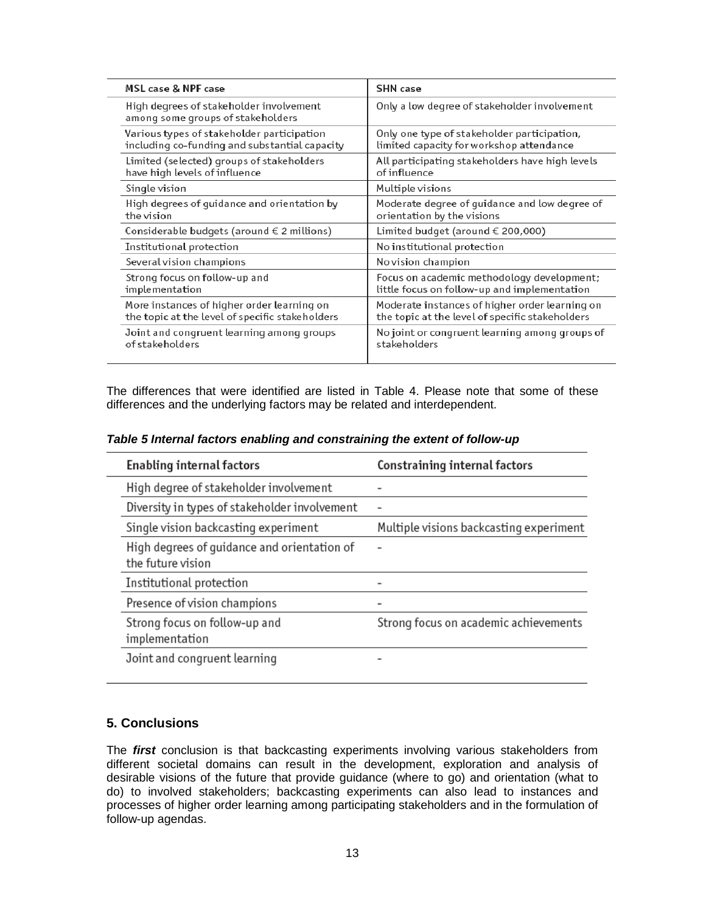| MSL case & NPF case                                                          | <b>SHN</b> case                                 |
|------------------------------------------------------------------------------|-------------------------------------------------|
| High degrees of stakeholder involvement<br>among some groups of stakeholders | Only a low degree of stakeholder involvement    |
| Various types of stakeholder participation                                   | Only one type of stakeholder participation,     |
| including co-funding and substantial capacity                                | limited capacity for workshop attendance        |
| Limited (selected) groups of stakeholders                                    | All participating stakeholders have high levels |
| have high levels of influence                                                | of influence                                    |
| Single vision                                                                | Multiple visions                                |
| High degrees of guidance and orientation by                                  | Moderate degree of guidance and low degree of   |
| the vision                                                                   | orientation by the visions                      |
| Considerable budgets (around $\in$ 2 millions)                               | Limited budget (around € 200,000)               |
| Institutional protection                                                     | No institutional protection                     |
| Several vision champions                                                     | No vision champion                              |
| Strong focus on follow-up and                                                | Focus on academic methodology development;      |
| implementation                                                               | little focus on follow-up and implementation    |
| More instances of higher order learning on                                   | Moderate instances of higher order learning on  |
| the topic at the level of specific stakeholders                              | the topic at the level of specific stakeholders |
| Joint and congruent learning among groups                                    | No joint or congruent learning among groups of  |
| of stakeholders                                                              | stakeholders                                    |

The differences that were identified are listed in Table 4. Please note that some of these differences and the underlying factors may be related and interdependent.

|  | Table 5 Internal factors enabling and constraining the extent of follow-up |
|--|----------------------------------------------------------------------------|
|--|----------------------------------------------------------------------------|

| <b>Enabling internal factors</b>                                 | Constraining internal factors           |
|------------------------------------------------------------------|-----------------------------------------|
| High degree of stakeholder involvement                           |                                         |
| Diversity in types of stakeholder involvement                    | -                                       |
| Single vision backcasting experiment                             | Multiple visions backcasting experiment |
| High degrees of quidance and orientation of<br>the future vision |                                         |
| Institutional protection                                         |                                         |
| Presence of vision champions                                     |                                         |
| Strong focus on follow-up and<br>implementation                  | Strong focus on academic achievements   |
| Joint and congruent learning                                     |                                         |

## **5. Conclusions**

The **first** conclusion is that backcasting experiments involving various stakeholders from different societal domains can result in the development, exploration and analysis of desirable visions of the future that provide guidance (where to go) and orientation (what to do) to involved stakeholders; backcasting experiments can also lead to instances and processes of higher order learning among participating stakeholders and in the formulation of follow-up agendas.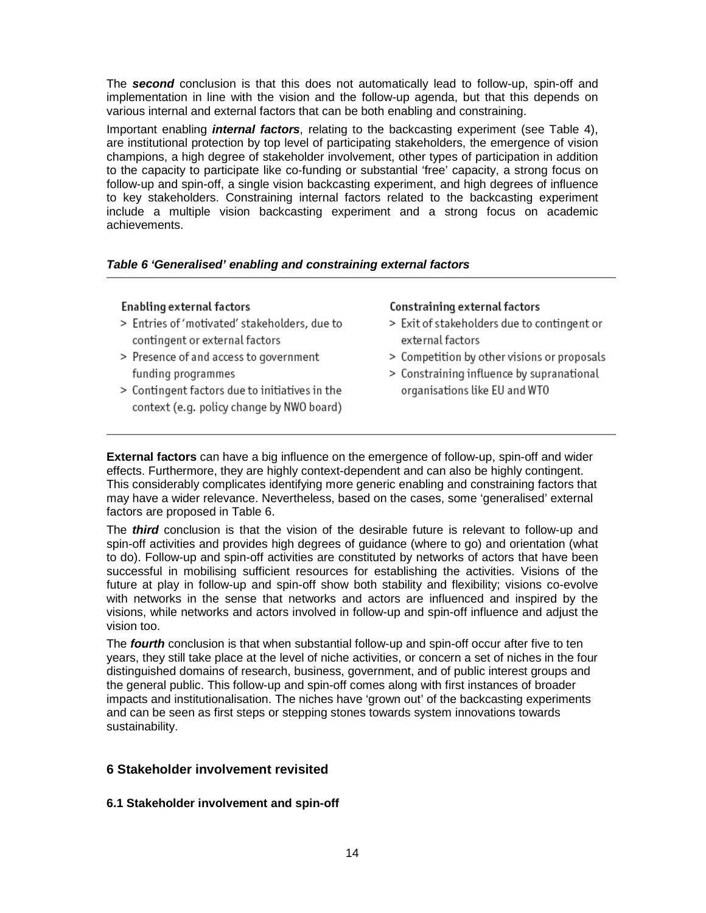The **second** conclusion is that this does not automatically lead to follow-up, spin-off and implementation in line with the vision and the follow-up agenda, but that this depends on various internal and external factors that can be both enabling and constraining.

Important enabling **internal factors**, relating to the backcasting experiment (see Table 4), are institutional protection by top level of participating stakeholders, the emergence of vision champions, a high degree of stakeholder involvement, other types of participation in addition to the capacity to participate like co-funding or substantial 'free' capacity, a strong focus on follow-up and spin-off, a single vision backcasting experiment, and high degrees of influence to key stakeholders. Constraining internal factors related to the backcasting experiment include a multiple vision backcasting experiment and a strong focus on academic achievements.

## **Table 6 'Generalised' enabling and constraining external factors**

## Enabling external factors

- > Entries of 'motivated' stakeholders, due to contingent or external factors
- > Presence of and access to government funding programmes
- > Contingent factors due to initiatives in the context (e.g. policy change by NWO board)

#### Constraining external factors

- > Exit of stakeholders due to contingent or external factors
- > Competition by other visions or proposals
- > Constraining influence by supranational organisations like EU and WTO

**External factors** can have a big influence on the emergence of follow-up, spin-off and wider effects. Furthermore, they are highly context-dependent and can also be highly contingent. This considerably complicates identifying more generic enabling and constraining factors that may have a wider relevance. Nevertheless, based on the cases, some 'generalised' external factors are proposed in Table 6.

The **third** conclusion is that the vision of the desirable future is relevant to follow-up and spin-off activities and provides high degrees of guidance (where to go) and orientation (what to do). Follow-up and spin-off activities are constituted by networks of actors that have been successful in mobilising sufficient resources for establishing the activities. Visions of the future at play in follow-up and spin-off show both stability and flexibility; visions co-evolve with networks in the sense that networks and actors are influenced and inspired by the visions, while networks and actors involved in follow-up and spin-off influence and adjust the vision too.

The **fourth** conclusion is that when substantial follow-up and spin-off occur after five to ten years, they still take place at the level of niche activities, or concern a set of niches in the four distinguished domains of research, business, government, and of public interest groups and the general public. This follow-up and spin-off comes along with first instances of broader impacts and institutionalisation. The niches have 'grown out' of the backcasting experiments and can be seen as first steps or stepping stones towards system innovations towards sustainability.

# **6 Stakeholder involvement revisited**

## **6.1 Stakeholder involvement and spin-off**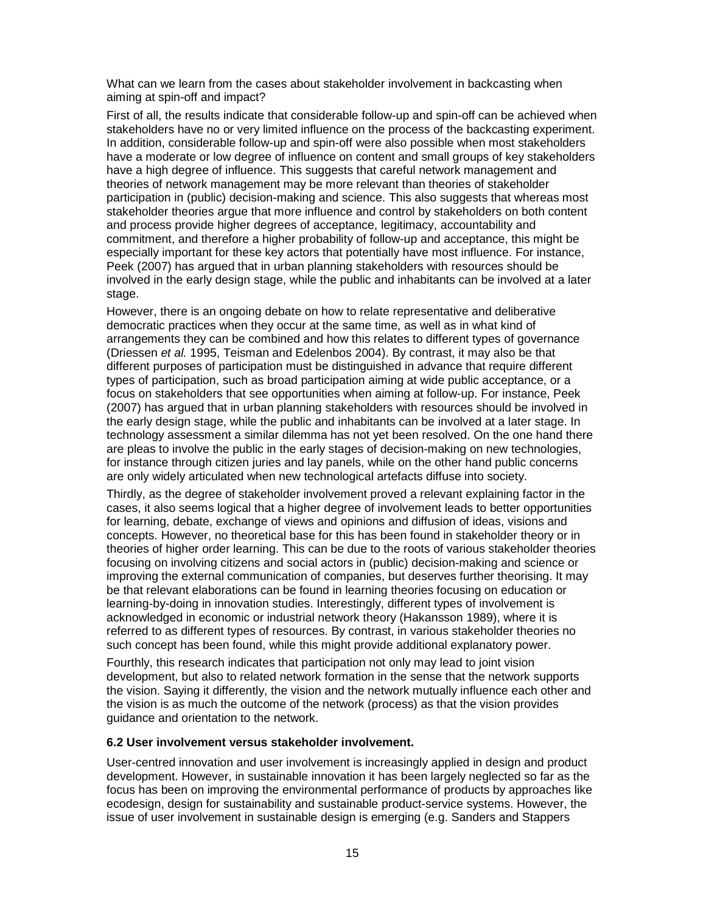What can we learn from the cases about stakeholder involvement in backcasting when aiming at spin-off and impact?

First of all, the results indicate that considerable follow-up and spin-off can be achieved when stakeholders have no or very limited influence on the process of the backcasting experiment. In addition, considerable follow-up and spin-off were also possible when most stakeholders have a moderate or low degree of influence on content and small groups of key stakeholders have a high degree of influence. This suggests that careful network management and theories of network management may be more relevant than theories of stakeholder participation in (public) decision-making and science. This also suggests that whereas most stakeholder theories argue that more influence and control by stakeholders on both content and process provide higher degrees of acceptance, legitimacy, accountability and commitment, and therefore a higher probability of follow-up and acceptance, this might be especially important for these key actors that potentially have most influence. For instance, Peek (2007) has argued that in urban planning stakeholders with resources should be involved in the early design stage, while the public and inhabitants can be involved at a later stage.

However, there is an ongoing debate on how to relate representative and deliberative democratic practices when they occur at the same time, as well as in what kind of arrangements they can be combined and how this relates to different types of governance (Driessen et al. 1995, Teisman and Edelenbos 2004). By contrast, it may also be that different purposes of participation must be distinguished in advance that require different types of participation, such as broad participation aiming at wide public acceptance, or a focus on stakeholders that see opportunities when aiming at follow-up. For instance, Peek (2007) has argued that in urban planning stakeholders with resources should be involved in the early design stage, while the public and inhabitants can be involved at a later stage. In technology assessment a similar dilemma has not yet been resolved. On the one hand there are pleas to involve the public in the early stages of decision-making on new technologies, for instance through citizen juries and lay panels, while on the other hand public concerns are only widely articulated when new technological artefacts diffuse into society.

Thirdly, as the degree of stakeholder involvement proved a relevant explaining factor in the cases, it also seems logical that a higher degree of involvement leads to better opportunities for learning, debate, exchange of views and opinions and diffusion of ideas, visions and concepts. However, no theoretical base for this has been found in stakeholder theory or in theories of higher order learning. This can be due to the roots of various stakeholder theories focusing on involving citizens and social actors in (public) decision-making and science or improving the external communication of companies, but deserves further theorising. It may be that relevant elaborations can be found in learning theories focusing on education or learning-by-doing in innovation studies. Interestingly, different types of involvement is acknowledged in economic or industrial network theory (Hakansson 1989), where it is referred to as different types of resources. By contrast, in various stakeholder theories no such concept has been found, while this might provide additional explanatory power.

Fourthly, this research indicates that participation not only may lead to joint vision development, but also to related network formation in the sense that the network supports the vision. Saying it differently, the vision and the network mutually influence each other and the vision is as much the outcome of the network (process) as that the vision provides guidance and orientation to the network.

#### **6.2 User involvement versus stakeholder involvement.**

User-centred innovation and user involvement is increasingly applied in design and product development. However, in sustainable innovation it has been largely neglected so far as the focus has been on improving the environmental performance of products by approaches like ecodesign, design for sustainability and sustainable product-service systems. However, the issue of user involvement in sustainable design is emerging (e.g. Sanders and Stappers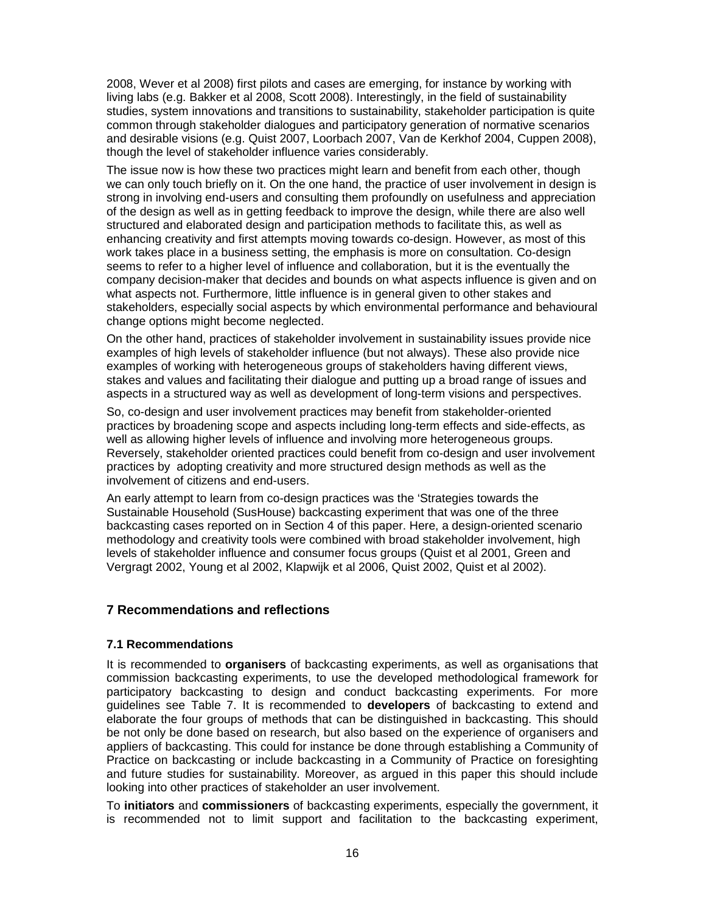2008, Wever et al 2008) first pilots and cases are emerging, for instance by working with living labs (e.g. Bakker et al 2008, Scott 2008). Interestingly, in the field of sustainability studies, system innovations and transitions to sustainability, stakeholder participation is quite common through stakeholder dialogues and participatory generation of normative scenarios and desirable visions (e.g. Quist 2007, Loorbach 2007, Van de Kerkhof 2004, Cuppen 2008), though the level of stakeholder influence varies considerably.

The issue now is how these two practices might learn and benefit from each other, though we can only touch briefly on it. On the one hand, the practice of user involvement in design is strong in involving end-users and consulting them profoundly on usefulness and appreciation of the design as well as in getting feedback to improve the design, while there are also well structured and elaborated design and participation methods to facilitate this, as well as enhancing creativity and first attempts moving towards co-design. However, as most of this work takes place in a business setting, the emphasis is more on consultation. Co-design seems to refer to a higher level of influence and collaboration, but it is the eventually the company decision-maker that decides and bounds on what aspects influence is given and on what aspects not. Furthermore, little influence is in general given to other stakes and stakeholders, especially social aspects by which environmental performance and behavioural change options might become neglected.

On the other hand, practices of stakeholder involvement in sustainability issues provide nice examples of high levels of stakeholder influence (but not always). These also provide nice examples of working with heterogeneous groups of stakeholders having different views, stakes and values and facilitating their dialogue and putting up a broad range of issues and aspects in a structured way as well as development of long-term visions and perspectives.

So, co-design and user involvement practices may benefit from stakeholder-oriented practices by broadening scope and aspects including long-term effects and side-effects, as well as allowing higher levels of influence and involving more heterogeneous groups. Reversely, stakeholder oriented practices could benefit from co-design and user involvement practices by adopting creativity and more structured design methods as well as the involvement of citizens and end-users.

An early attempt to learn from co-design practices was the 'Strategies towards the Sustainable Household (SusHouse) backcasting experiment that was one of the three backcasting cases reported on in Section 4 of this paper. Here, a design-oriented scenario methodology and creativity tools were combined with broad stakeholder involvement, high levels of stakeholder influence and consumer focus groups (Quist et al 2001, Green and Vergragt 2002, Young et al 2002, Klapwijk et al 2006, Quist 2002, Quist et al 2002).

# **7 Recommendations and reflections**

## **7.1 Recommendations**

It is recommended to **organisers** of backcasting experiments, as well as organisations that commission backcasting experiments, to use the developed methodological framework for participatory backcasting to design and conduct backcasting experiments. For more guidelines see Table 7. It is recommended to **developers** of backcasting to extend and elaborate the four groups of methods that can be distinguished in backcasting. This should be not only be done based on research, but also based on the experience of organisers and appliers of backcasting. This could for instance be done through establishing a Community of Practice on backcasting or include backcasting in a Community of Practice on foresighting and future studies for sustainability. Moreover, as argued in this paper this should include looking into other practices of stakeholder an user involvement.

To **initiators** and **commissioners** of backcasting experiments, especially the government, it is recommended not to limit support and facilitation to the backcasting experiment,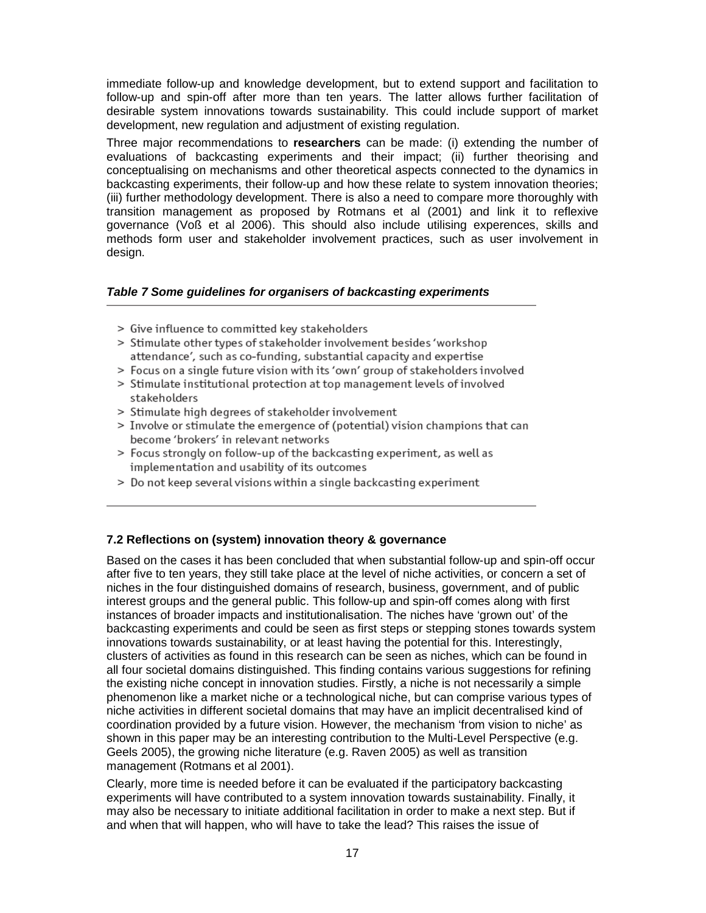immediate follow-up and knowledge development, but to extend support and facilitation to follow-up and spin-off after more than ten years. The latter allows further facilitation of desirable system innovations towards sustainability. This could include support of market development, new regulation and adjustment of existing regulation.

Three major recommendations to **researchers** can be made: (i) extending the number of evaluations of backcasting experiments and their impact; (ii) further theorising and conceptualising on mechanisms and other theoretical aspects connected to the dynamics in backcasting experiments, their follow-up and how these relate to system innovation theories; (iii) further methodology development. There is also a need to compare more thoroughly with transition management as proposed by Rotmans et al (2001) and link it to reflexive governance (Voß et al 2006). This should also include utilising experences, skills and methods form user and stakeholder involvement practices, such as user involvement in design.

## **Table 7 Some guidelines for organisers of backcasting experiments**

- > Give influence to committed key stakeholders
- > Stimulate other types of stakeholder involvement besides 'workshop attendance', such as co-funding, substantial capacity and expertise
- > Focus on a single future vision with its 'own' group of stakeholders involved
- > Stimulate institutional protection at top management levels of involved stakeholders
- > Stimulate high degrees of stakeholder involvement
- > Involve or stimulate the emergence of (potential) vision champions that can become 'brokers' in relevant networks
- > Focus strongly on follow-up of the backcasting experiment, as well as implementation and usability of its outcomes
- > Do not keep several visions within a single backcasting experiment

# **7.2 Reflections on (system) innovation theory & governance**

Based on the cases it has been concluded that when substantial follow-up and spin-off occur after five to ten years, they still take place at the level of niche activities, or concern a set of niches in the four distinguished domains of research, business, government, and of public interest groups and the general public. This follow-up and spin-off comes along with first instances of broader impacts and institutionalisation. The niches have 'grown out' of the backcasting experiments and could be seen as first steps or stepping stones towards system innovations towards sustainability, or at least having the potential for this. Interestingly, clusters of activities as found in this research can be seen as niches, which can be found in all four societal domains distinguished. This finding contains various suggestions for refining the existing niche concept in innovation studies. Firstly, a niche is not necessarily a simple phenomenon like a market niche or a technological niche, but can comprise various types of niche activities in different societal domains that may have an implicit decentralised kind of coordination provided by a future vision. However, the mechanism 'from vision to niche' as shown in this paper may be an interesting contribution to the Multi-Level Perspective (e.g. Geels 2005), the growing niche literature (e.g. Raven 2005) as well as transition management (Rotmans et al 2001).

Clearly, more time is needed before it can be evaluated if the participatory backcasting experiments will have contributed to a system innovation towards sustainability. Finally, it may also be necessary to initiate additional facilitation in order to make a next step. But if and when that will happen, who will have to take the lead? This raises the issue of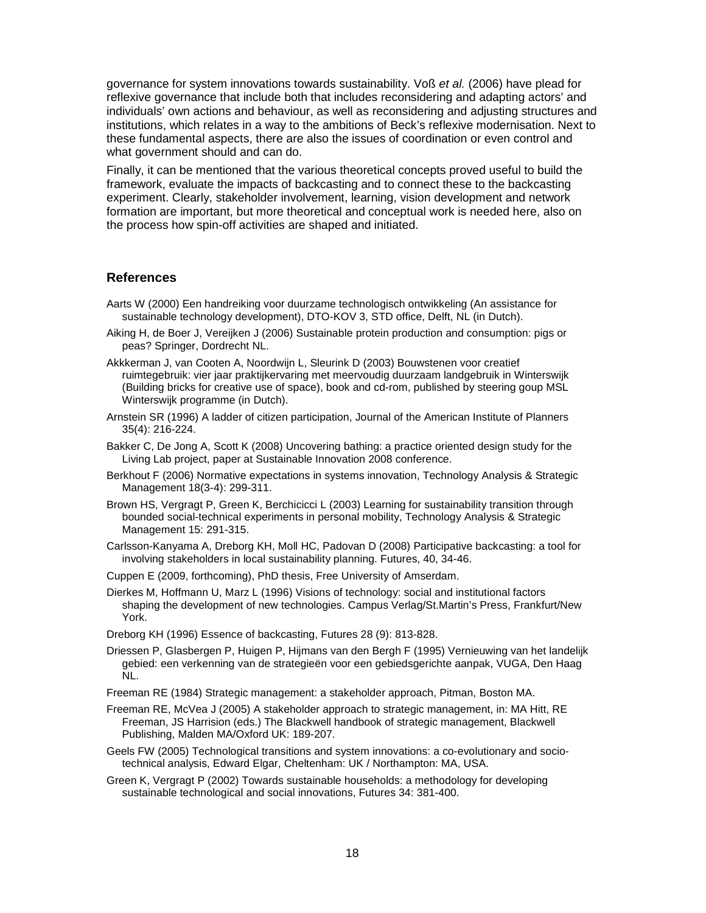governance for system innovations towards sustainability. Voß et al. (2006) have plead for reflexive governance that include both that includes reconsidering and adapting actors' and individuals' own actions and behaviour, as well as reconsidering and adjusting structures and institutions, which relates in a way to the ambitions of Beck's reflexive modernisation. Next to these fundamental aspects, there are also the issues of coordination or even control and what government should and can do.

Finally, it can be mentioned that the various theoretical concepts proved useful to build the framework, evaluate the impacts of backcasting and to connect these to the backcasting experiment. Clearly, stakeholder involvement, learning, vision development and network formation are important, but more theoretical and conceptual work is needed here, also on the process how spin-off activities are shaped and initiated.

#### **References**

- Aarts W (2000) Een handreiking voor duurzame technologisch ontwikkeling (An assistance for sustainable technology development), DTO-KOV 3, STD office, Delft, NL (in Dutch).
- Aiking H, de Boer J, Vereijken J (2006) Sustainable protein production and consumption: pigs or peas? Springer, Dordrecht NL.
- Akkkerman J, van Cooten A, Noordwijn L, Sleurink D (2003) Bouwstenen voor creatief ruimtegebruik: vier jaar praktijkervaring met meervoudig duurzaam landgebruik in Winterswijk (Building bricks for creative use of space), book and cd-rom, published by steering goup MSL Winterswijk programme (in Dutch).
- Arnstein SR (1996) A ladder of citizen participation, Journal of the American Institute of Planners 35(4): 216-224.
- Bakker C, De Jong A, Scott K (2008) Uncovering bathing: a practice oriented design study for the Living Lab project, paper at Sustainable Innovation 2008 conference.
- Berkhout F (2006) Normative expectations in systems innovation, Technology Analysis & Strategic Management 18(3-4): 299-311.
- Brown HS, Vergragt P, Green K, Berchicicci L (2003) Learning for sustainability transition through bounded social-technical experiments in personal mobility, Technology Analysis & Strategic Management 15: 291-315.
- Carlsson-Kanyama A, Dreborg KH, Moll HC, Padovan D (2008) Participative backcasting: a tool for involving stakeholders in local sustainability planning. Futures, 40, 34-46.
- Cuppen E (2009, forthcoming), PhD thesis, Free University of Amserdam.
- Dierkes M, Hoffmann U, Marz L (1996) Visions of technology: social and institutional factors shaping the development of new technologies. Campus Verlag/St.Martin's Press, Frankfurt/New York.

Dreborg KH (1996) Essence of backcasting, Futures 28 (9): 813-828.

- Driessen P, Glasbergen P, Huigen P, Hijmans van den Bergh F (1995) Vernieuwing van het landelijk gebied: een verkenning van de strategieën voor een gebiedsgerichte aanpak, VUGA, Den Haag NL.
- Freeman RE (1984) Strategic management: a stakeholder approach, Pitman, Boston MA.
- Freeman RE, McVea J (2005) A stakeholder approach to strategic management, in: MA Hitt, RE Freeman, JS Harrision (eds.) The Blackwell handbook of strategic management, Blackwell Publishing, Malden MA/Oxford UK: 189-207.
- Geels FW (2005) Technological transitions and system innovations: a co-evolutionary and sociotechnical analysis, Edward Elgar, Cheltenham: UK / Northampton: MA, USA.
- Green K, Vergragt P (2002) Towards sustainable households: a methodology for developing sustainable technological and social innovations, Futures 34: 381-400.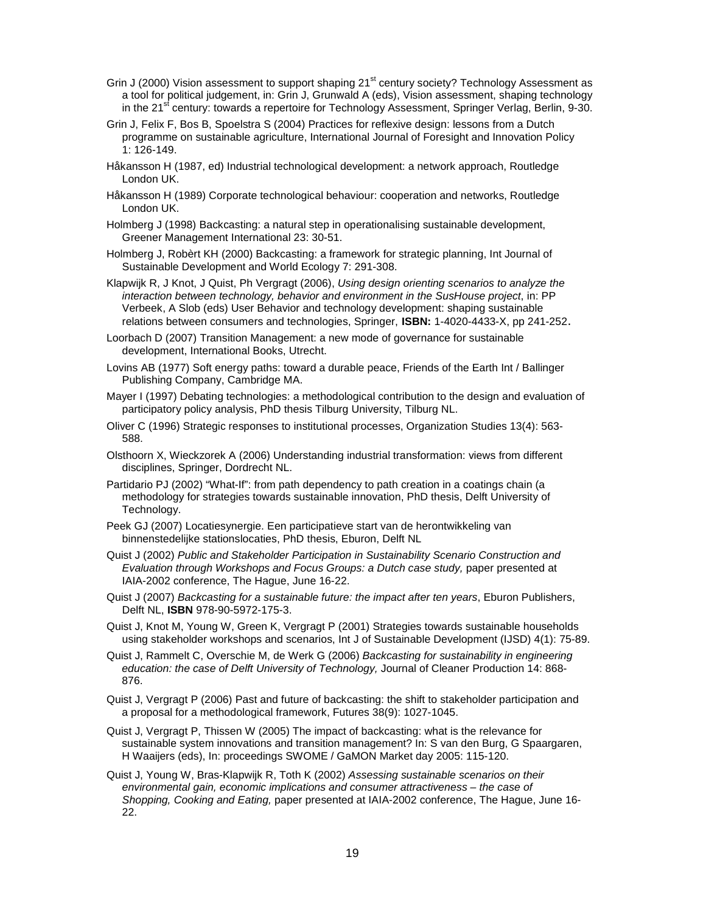- Grin J (2000) Vision assessment to support shaping 21<sup>st</sup> century society? Technology Assessment as a tool for political judgement, in: Grin J, Grunwald A (eds), Vision assessment, shaping technology in the 21<sup>st</sup> century: towards a repertoire for Technology Assessment, Springer Verlag, Berlin, 9-30.
- Grin J, Felix F, Bos B, Spoelstra S (2004) Practices for reflexive design: lessons from a Dutch programme on sustainable agriculture, International Journal of Foresight and Innovation Policy 1: 126-149.
- Håkansson H (1987, ed) Industrial technological development: a network approach, Routledge London UK.
- Håkansson H (1989) Corporate technological behaviour: cooperation and networks, Routledge London UK.
- Holmberg J (1998) Backcasting: a natural step in operationalising sustainable development, Greener Management International 23: 30-51.
- Holmberg J, Robèrt KH (2000) Backcasting: a framework for strategic planning, Int Journal of Sustainable Development and World Ecology 7: 291-308.
- Klapwijk R, J Knot, J Quist, Ph Vergragt (2006), Using design orienting scenarios to analyze the interaction between technology, behavior and environment in the SusHouse project, in: PP Verbeek, A Slob (eds) User Behavior and technology development: shaping sustainable relations between consumers and technologies, Springer, **ISBN:** 1-4020-4433-X, pp 241-252.
- Loorbach D (2007) Transition Management: a new mode of governance for sustainable development, International Books, Utrecht.
- Lovins AB (1977) Soft energy paths: toward a durable peace, Friends of the Earth Int / Ballinger Publishing Company, Cambridge MA.
- Mayer I (1997) Debating technologies: a methodological contribution to the design and evaluation of participatory policy analysis, PhD thesis Tilburg University, Tilburg NL.
- Oliver C (1996) Strategic responses to institutional processes, Organization Studies 13(4): 563- 588.
- Olsthoorn X, Wieckzorek A (2006) Understanding industrial transformation: views from different disciplines, Springer, Dordrecht NL.
- Partidario PJ (2002) "What-If": from path dependency to path creation in a coatings chain (a methodology for strategies towards sustainable innovation, PhD thesis, Delft University of Technology.
- Peek GJ (2007) Locatiesynergie. Een participatieve start van de herontwikkeling van binnenstedelijke stationslocaties, PhD thesis, Eburon, Delft NL
- Quist J (2002) Public and Stakeholder Participation in Sustainability Scenario Construction and Evaluation through Workshops and Focus Groups: a Dutch case study, paper presented at IAIA-2002 conference, The Hague, June 16-22.
- Quist J (2007) Backcasting for a sustainable future: the impact after ten years, Eburon Publishers, Delft NL, **ISBN** 978-90-5972-175-3.
- Quist J, Knot M, Young W, Green K, Vergragt P (2001) Strategies towards sustainable households using stakeholder workshops and scenarios, Int J of Sustainable Development (IJSD) 4(1): 75-89.
- Quist J, Rammelt C, Overschie M, de Werk G (2006) Backcasting for sustainability in engineering education: the case of Delft University of Technology, Journal of Cleaner Production 14: 868- 876.
- Quist J, Vergragt P (2006) Past and future of backcasting: the shift to stakeholder participation and a proposal for a methodological framework, Futures 38(9): 1027-1045.
- Quist J, Vergragt P, Thissen W (2005) The impact of backcasting: what is the relevance for sustainable system innovations and transition management? In: S van den Burg, G Spaargaren, H Waaijers (eds), In: proceedings SWOME / GaMON Market day 2005: 115-120.
- Quist J, Young W, Bras-Klapwijk R, Toth K (2002) Assessing sustainable scenarios on their environmental gain, economic implications and consumer attractiveness – the case of Shopping, Cooking and Eating, paper presented at IAIA-2002 conference, The Hague, June 16- 22.